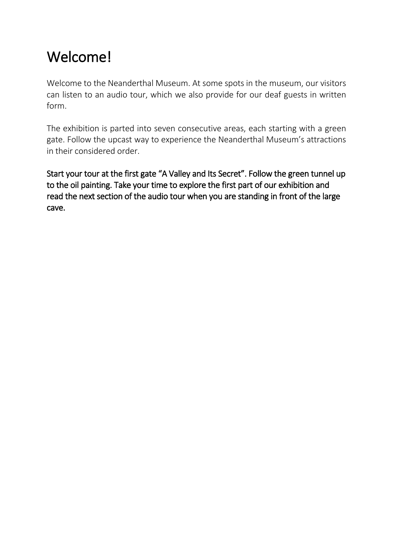# Welcome!

Welcome to the Neanderthal Museum. At some spots in the museum, our visitors can listen to an audio tour, which we also provide for our deaf guests in written form.

The exhibition is parted into seven consecutive areas, each starting with a green gate. Follow the upcast way to experience the Neanderthal Museum's attractions in their considered order.

Start your tour at the first gate "A Valley and Its Secret". Follow the green tunnel up to the oil painting. Take your time to explore the first part of our exhibition and read the next section of the audio tour when you are standing in front of the large cave.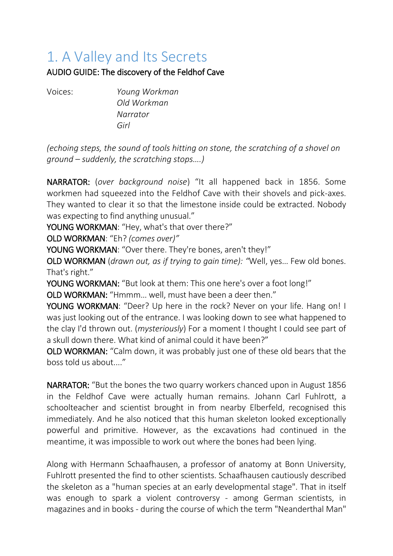# 1. A Valley and Its Secrets

AUDIO GUIDE: The discovery of the Feldhof Cave

Voices: *Young Workman Old Workman Narrator Girl*

*(echoing steps, the sound of tools hitting on stone, the scratching of a shovel on ground – suddenly, the scratching stops….)*

NARRATOR: (*over background noise*) "It all happened back in 1856. Some workmen had squeezed into the Feldhof Cave with their shovels and pick-axes. They wanted to clear it so that the limestone inside could be extracted. Nobody was expecting to find anything unusual."

YOUNG WORKMAN: "Hey, what's that over there?"

OLD WORKMAN: "Eh? *(comes over)"*

YOUNG WORKMAN: "Over there. They're bones, aren't they!"

OLD WORKMAN (*drawn out, as if trying to gain time): "*Well, yes… Few old bones. That's right."

YOUNG WORKMAN: "But look at them: This one here's over a foot long!"

OLD WORKMAN: "Hmmm… well, must have been a deer then."

YOUNG WORKMAN: "Deer? Up here in the rock? Never on your life. Hang on! I was just looking out of the entrance. I was looking down to see what happened to the clay I'd thrown out. (*mysteriously*) For a moment I thought I could see part of a skull down there. What kind of animal could it have been?"

OLD WORKMAN: "Calm down, it was probably just one of these old bears that the boss told us about...."

NARRATOR: "But the bones the two quarry workers chanced upon in August 1856 in the Feldhof Cave were actually human remains. Johann Carl Fuhlrott, a schoolteacher and scientist brought in from nearby Elberfeld, recognised this immediately. And he also noticed that this human skeleton looked exceptionally powerful and primitive. However, as the excavations had continued in the meantime, it was impossible to work out where the bones had been lying.

Along with Hermann Schaafhausen, a professor of anatomy at Bonn University, Fuhlrott presented the find to other scientists. Schaafhausen cautiously described the skeleton as a "human species at an early developmental stage". That in itself was enough to spark a violent controversy - among German scientists, in magazines and in books - during the course of which the term "Neanderthal Man"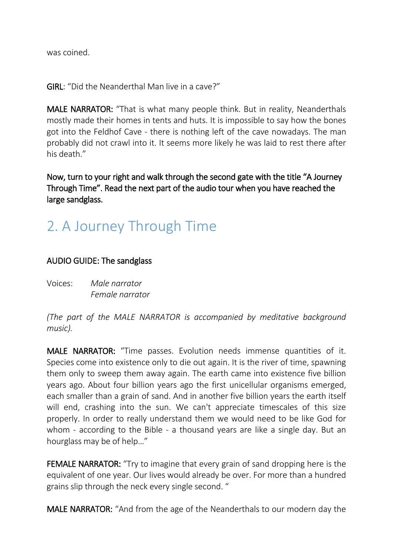was coined.

GIRL: "Did the Neanderthal Man live in a cave?"

MALE NARRATOR: "That is what many people think. But in reality, Neanderthals mostly made their homes in tents and huts. It is impossible to say how the bones got into the Feldhof Cave - there is nothing left of the cave nowadays. The man probably did not crawl into it. It seems more likely he was laid to rest there after his death"

Now, turn to your right and walk through the second gate with the title "A Journey Through Time". Read the next part of the audio tour when you have reached the large sandglass.

# 2. A Journey Through Time

#### AUDIO GUIDE: The sandglass

Voices: *Male narrator Female narrator*

*(The part of the MALE NARRATOR is accompanied by meditative background music).*

MALE NARRATOR: "Time passes. Evolution needs immense quantities of it. Species come into existence only to die out again. It is the river of time, spawning them only to sweep them away again. The earth came into existence five billion years ago. About four billion years ago the first unicellular organisms emerged, each smaller than a grain of sand. And in another five billion years the earth itself will end, crashing into the sun. We can't appreciate timescales of this size properly. In order to really understand them we would need to be like God for whom - according to the Bible - a thousand years are like a single day. But an hourglass may be of help…"

FEMALE NARRATOR: "Try to imagine that every grain of sand dropping here is the equivalent of one year. Our lives would already be over. For more than a hundred grains slip through the neck every single second. "

MALE NARRATOR: "And from the age of the Neanderthals to our modern day the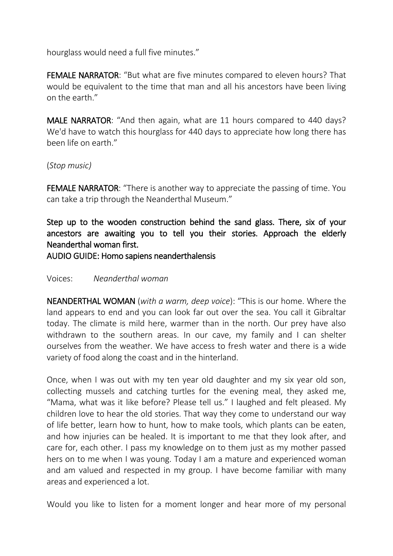hourglass would need a full five minutes."

FEMALE NARRATOR: "But what are five minutes compared to eleven hours? That would be equivalent to the time that man and all his ancestors have been living on the earth."

MALE NARRATOR: "And then again, what are 11 hours compared to 440 days? We'd have to watch this hourglass for 440 days to appreciate how long there has been life on earth."

#### (*Stop music)*

FEMALE NARRATOR: "There is another way to appreciate the passing of time. You can take a trip through the Neanderthal Museum."

Step up to the wooden construction behind the sand glass. There, six of your ancestors are awaiting you to tell you their stories. Approach the elderly Neanderthal woman first.

AUDIO GUIDE: Homo sapiens neanderthalensis

#### Voices: *Neanderthal woman*

NEANDERTHAL WOMAN (*with a warm, deep voice*): "This is our home. Where the land appears to end and you can look far out over the sea. You call it Gibraltar today. The climate is mild here, warmer than in the north. Our prey have also withdrawn to the southern areas. In our cave, my family and I can shelter ourselves from the weather. We have access to fresh water and there is a wide variety of food along the coast and in the hinterland.

Once, when I was out with my ten year old daughter and my six year old son, collecting mussels and catching turtles for the evening meal, they asked me, "Mama, what was it like before? Please tell us." I laughed and felt pleased. My children love to hear the old stories. That way they come to understand our way of life better, learn how to hunt, how to make tools, which plants can be eaten, and how injuries can be healed. It is important to me that they look after, and care for, each other. I pass my knowledge on to them just as my mother passed hers on to me when I was young. Today I am a mature and experienced woman and am valued and respected in my group. I have become familiar with many areas and experienced a lot.

Would you like to listen for a moment longer and hear more of my personal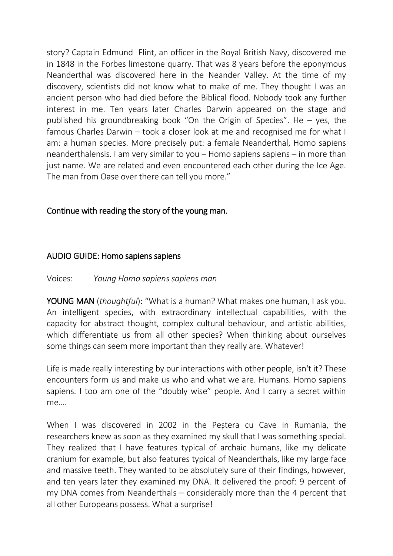story? Captain Edmund Flint, an officer in the Royal British Navy, discovered me in 1848 in the Forbes limestone quarry. That was 8 years before the eponymous Neanderthal was discovered here in the Neander Valley. At the time of my discovery, scientists did not know what to make of me. They thought I was an ancient person who had died before the Biblical flood. Nobody took any further interest in me. Ten years later Charles Darwin appeared on the stage and published his groundbreaking book "On the Origin of Species". He – yes, the famous Charles Darwin – took a closer look at me and recognised me for what I am: a human species. More precisely put: a female Neanderthal, Homo sapiens neanderthalensis. I am very similar to you – Homo sapiens sapiens – in more than just name. We are related and even encountered each other during the Ice Age. The man from Oase over there can tell you more."

### Continue with reading the story of the young man.

#### AUDIO GUIDE: Homo sapiens sapiens

#### Voices: *Young Homo sapiens sapiens man*

YOUNG MAN (*thoughtful*): "What is a human? What makes one human, I ask you. An intelligent species, with extraordinary intellectual capabilities, with the capacity for abstract thought, complex cultural behaviour, and artistic abilities, which differentiate us from all other species? When thinking about ourselves some things can seem more important than they really are. Whatever!

Life is made really interesting by our interactions with other people, isn't it? These encounters form us and make us who and what we are. Humans. Homo sapiens sapiens. I too am one of the "doubly wise" people. And I carry a secret within me….

When I was discovered in 2002 in the Peștera cu Cave in Rumania, the researchers knew as soon as they examined my skull that I was something special. They realized that I have features typical of archaic humans, like my delicate cranium for example, but also features typical of Neanderthals, like my large face and massive teeth. They wanted to be absolutely sure of their findings, however, and ten years later they examined my DNA. It delivered the proof: 9 percent of my DNA comes from Neanderthals – considerably more than the 4 percent that all other Europeans possess. What a surprise!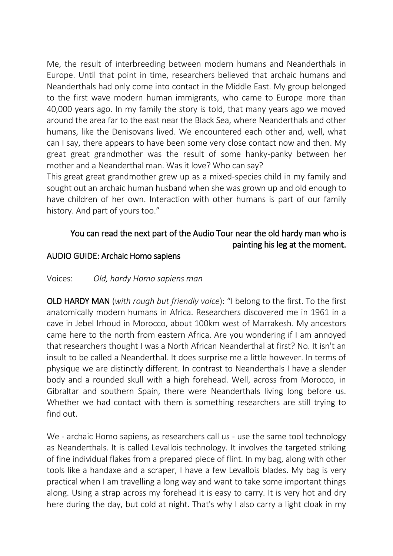Me, the result of interbreeding between modern humans and Neanderthals in Europe. Until that point in time, researchers believed that archaic humans and Neanderthals had only come into contact in the Middle East. My group belonged to the first wave modern human immigrants, who came to Europe more than 40,000 years ago. In my family the story is told, that many years ago we moved around the area far to the east near the Black Sea, where Neanderthals and other humans, like the Denisovans lived. We encountered each other and, well, what can I say, there appears to have been some very close contact now and then. My great great grandmother was the result of some hanky-panky between her mother and a Neanderthal man. Was it love? Who can say?

This great great grandmother grew up as a mixed-species child in my family and sought out an archaic human husband when she was grown up and old enough to have children of her own. Interaction with other humans is part of our family history. And part of yours too."

# You can read the next part of the Audio Tour near the old hardy man who is painting his leg at the moment.

#### AUDIO GUIDE: Archaic Homo sapiens

#### Voices: *Old, hardy Homo sapiens man*

OLD HARDY MAN (*with rough but friendly voice*): "I belong to the first. To the first anatomically modern humans in Africa. Researchers discovered me in 1961 in a cave in Jebel Irhoud in Morocco, about 100km west of Marrakesh. My ancestors came here to the north from eastern Africa. Are you wondering if I am annoyed that researchers thought I was a North African Neanderthal at first? No. It isn't an insult to be called a Neanderthal. It does surprise me a little however. In terms of physique we are distinctly different. In contrast to Neanderthals I have a slender body and a rounded skull with a high forehead. Well, across from Morocco, in Gibraltar and southern Spain, there were Neanderthals living long before us. Whether we had contact with them is something researchers are still trying to find out.

We - archaic Homo sapiens, as researchers call us - use the same tool technology as Neanderthals. It is called Levallois technology. It involves the targeted striking of fine individual flakes from a prepared piece of flint. In my bag, along with other tools like a handaxe and a scraper, I have a few Levallois blades. My bag is very practical when I am travelling a long way and want to take some important things along. Using a strap across my forehead it is easy to carry. It is very hot and dry here during the day, but cold at night. That's why I also carry a light cloak in my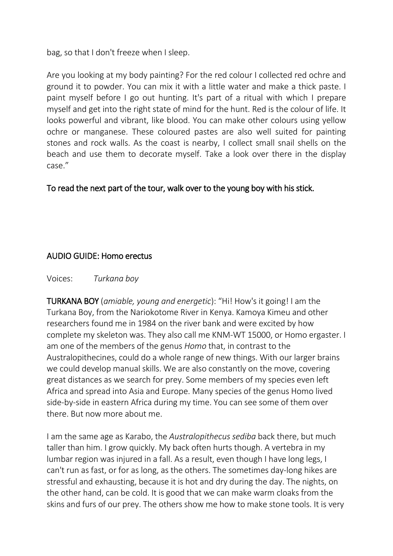bag, so that I don't freeze when I sleep.

Are you looking at my body painting? For the red colour I collected red ochre and ground it to powder. You can mix it with a little water and make a thick paste. I paint myself before I go out hunting. It's part of a ritual with which I prepare myself and get into the right state of mind for the hunt. Red is the colour of life. It looks powerful and vibrant, like blood. You can make other colours using yellow ochre or manganese. These coloured pastes are also well suited for painting stones and rock walls. As the coast is nearby, I collect small snail shells on the beach and use them to decorate myself. Take a look over there in the display case."

To read the next part of the tour, walk over to the young boy with his stick.

### AUDIO GUIDE: Homo erectus

Voices: *Turkana boy*

TURKANA BOY (*amiable, young and energetic*): "Hi! How's it going! I am the Turkana Boy, from the Nariokotome River in Kenya. Kamoya Kimeu and other researchers found me in 1984 on the river bank and were excited by how complete my skeleton was. They also call me KNM-WT 15000, or Homo ergaster. I am one of the members of the genus *Homo* that, in contrast to the Australopithecines, could do a whole range of new things. With our larger brains we could develop manual skills. We are also constantly on the move, covering great distances as we search for prey. Some members of my species even left Africa and spread into Asia and Europe. Many species of the genus Homo lived side-by-side in eastern Africa during my time. You can see some of them over there. But now more about me.

I am the same age as Karabo, the *Australopithecus sediba* back there, but much taller than him. I grow quickly. My back often hurts though. A vertebra in my lumbar region was injured in a fall. As a result, even though I have long legs, I can't run as fast, or for as long, as the others. The sometimes day-long hikes are stressful and exhausting, because it is hot and dry during the day. The nights, on the other hand, can be cold. It is good that we can make warm cloaks from the skins and furs of our prey. The others show me how to make stone tools. It is very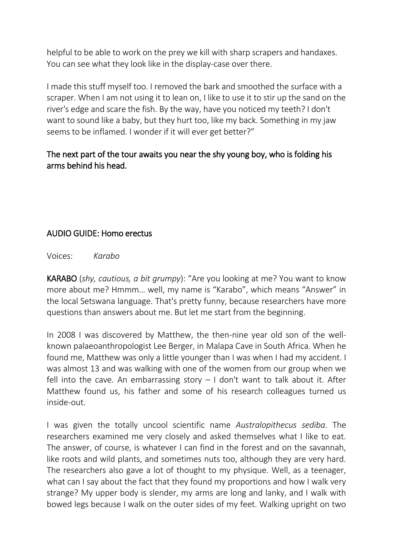helpful to be able to work on the prey we kill with sharp scrapers and handaxes. You can see what they look like in the display-case over there.

I made this stuff myself too. I removed the bark and smoothed the surface with a scraper. When I am not using it to lean on, I like to use it to stir up the sand on the river's edge and scare the fish. By the way, have you noticed my teeth? I don't want to sound like a baby, but they hurt too, like my back. Something in my jaw seems to be inflamed. I wonder if it will ever get better?"

### The next part of the tour awaits you near the shy young boy, who is folding his arms behind his head.

## AUDIO GUIDE: Homo erectus

Voices: *Karabo*

KARABO (*shy, cautious, a bit grumpy*): "Are you looking at me? You want to know more about me? Hmmm… well, my name is "Karabo", which means "Answer" in the local Setswana language. That's pretty funny, because researchers have more questions than answers about me. But let me start from the beginning.

In 2008 I was discovered by Matthew, the then-nine year old son of the wellknown palaeoanthropologist Lee Berger, in Malapa Cave in South Africa. When he found me, Matthew was only a little younger than I was when I had my accident. I was almost 13 and was walking with one of the women from our group when we fell into the cave. An embarrassing story  $-1$  don't want to talk about it. After Matthew found us, his father and some of his research colleagues turned us inside-out.

I was given the totally uncool scientific name *Australopithecus sediba*. The researchers examined me very closely and asked themselves what I like to eat. The answer, of course, is whatever I can find in the forest and on the savannah, like roots and wild plants, and sometimes nuts too, although they are very hard. The researchers also gave a lot of thought to my physique. Well, as a teenager, what can I say about the fact that they found my proportions and how I walk very strange? My upper body is slender, my arms are long and lanky, and I walk with bowed legs because I walk on the outer sides of my feet. Walking upright on two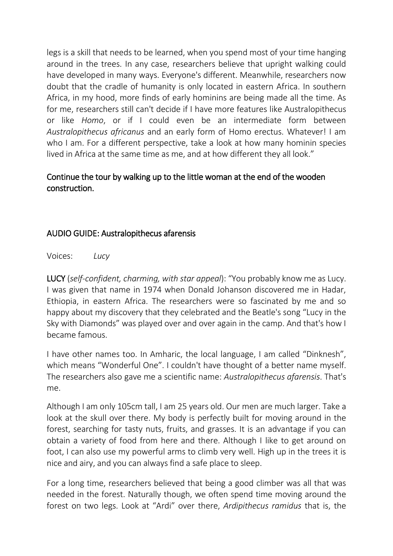legs is a skill that needs to be learned, when you spend most of your time hanging around in the trees. In any case, researchers believe that upright walking could have developed in many ways. Everyone's different. Meanwhile, researchers now doubt that the cradle of humanity is only located in eastern Africa. In southern Africa, in my hood, more finds of early hominins are being made all the time. As for me, researchers still can't decide if I have more features like Australopithecus or like *Homo*, or if I could even be an intermediate form between *Australopithecus africanus* and an early form of Homo erectus. Whatever! I am who I am. For a different perspective, take a look at how many hominin species lived in Africa at the same time as me, and at how different they all look."

## Continue the tour by walking up to the little woman at the end of the wooden construction.

### AUDIO GUIDE: Australopithecus afarensis

Voices: *Lucy*

LUCY (*self-confident, charming, with star appeal*): "You probably know me as Lucy. I was given that name in 1974 when Donald Johanson discovered me in Hadar, Ethiopia, in eastern Africa. The researchers were so fascinated by me and so happy about my discovery that they celebrated and the Beatle's song "Lucy in the Sky with Diamonds" was played over and over again in the camp. And that's how I became famous.

I have other names too. In Amharic, the local language, I am called "Dinknesh", which means "Wonderful One". I couldn't have thought of a better name myself. The researchers also gave me a scientific name: *Australopithecus afarensis*. That's me.

Although I am only 105cm tall, I am 25 years old. Our men are much larger. Take a look at the skull over there. My body is perfectly built for moving around in the forest, searching for tasty nuts, fruits, and grasses. It is an advantage if you can obtain a variety of food from here and there. Although I like to get around on foot, I can also use my powerful arms to climb very well. High up in the trees it is nice and airy, and you can always find a safe place to sleep.

For a long time, researchers believed that being a good climber was all that was needed in the forest. Naturally though, we often spend time moving around the forest on two legs. Look at "Ardi" over there, *Ardipithecus ramidus* that is, the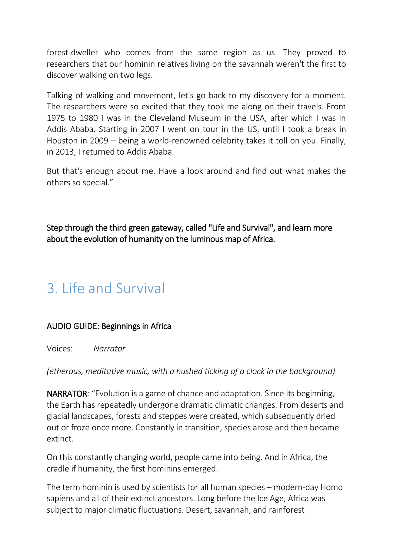forest-dweller who comes from the same region as us. They proved to researchers that our hominin relatives living on the savannah weren't the first to discover walking on two legs.

Talking of walking and movement, let's go back to my discovery for a moment. The researchers were so excited that they took me along on their travels. From 1975 to 1980 I was in the Cleveland Museum in the USA, after which I was in Addis Ababa. Starting in 2007 I went on tour in the US, until I took a break in Houston in 2009 – being a world-renowned celebrity takes it toll on you. Finally, in 2013, I returned to Addis Ababa.

But that's enough about me. Have a look around and find out what makes the others so special."

Step through the third green gateway, called "Life and Survival", and learn more about the evolution of humanity on the luminous map of Africa.

# 3. Life and Survival

# AUDIO GUIDE: Beginnings in Africa

Voices: *Narrator*

*(etherous, meditative music, with a hushed ticking of a clock in the background)*

NARRATOR: "Evolution is a game of chance and adaptation. Since its beginning, the Earth has repeatedly undergone dramatic climatic changes. From deserts and glacial landscapes, forests and steppes were created, which subsequently dried out or froze once more. Constantly in transition, species arose and then became extinct.

On this constantly changing world, people came into being. And in Africa, the cradle if humanity, the first hominins emerged.

The term hominin is used by scientists for all human species – modern-day Homo sapiens and all of their extinct ancestors. Long before the Ice Age, Africa was subject to major climatic fluctuations. Desert, savannah, and rainforest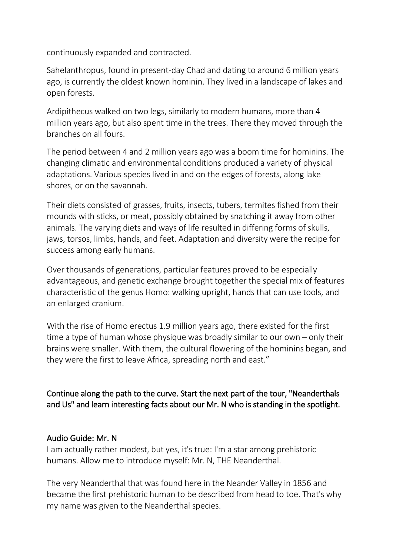continuously expanded and contracted.

Sahelanthropus, found in present-day Chad and dating to around 6 million years ago, is currently the oldest known hominin. They lived in a landscape of lakes and open forests.

Ardipithecus walked on two legs, similarly to modern humans, more than 4 million years ago, but also spent time in the trees. There they moved through the branches on all fours.

The period between 4 and 2 million years ago was a boom time for hominins. The changing climatic and environmental conditions produced a variety of physical adaptations. Various species lived in and on the edges of forests, along lake shores, or on the savannah.

Their diets consisted of grasses, fruits, insects, tubers, termites fished from their mounds with sticks, or meat, possibly obtained by snatching it away from other animals. The varying diets and ways of life resulted in differing forms of skulls, jaws, torsos, limbs, hands, and feet. Adaptation and diversity were the recipe for success among early humans.

Over thousands of generations, particular features proved to be especially advantageous, and genetic exchange brought together the special mix of features characteristic of the genus Homo: walking upright, hands that can use tools, and an enlarged cranium.

With the rise of Homo erectus 1.9 million years ago, there existed for the first time a type of human whose physique was broadly similar to our own – only their brains were smaller. With them, the cultural flowering of the hominins began, and they were the first to leave Africa, spreading north and east."

Continue along the path to the curve. Start the next part of the tour, "Neanderthals and Us" and learn interesting facts about our Mr. N who is standing in the spotlight.

### Audio Guide: Mr. N

I am actually rather modest, but yes, it's true: I'm a star among prehistoric humans. Allow me to introduce myself: Mr. N, THE Neanderthal.

The very Neanderthal that was found here in the Neander Valley in 1856 and became the first prehistoric human to be described from head to toe. That's why my name was given to the Neanderthal species.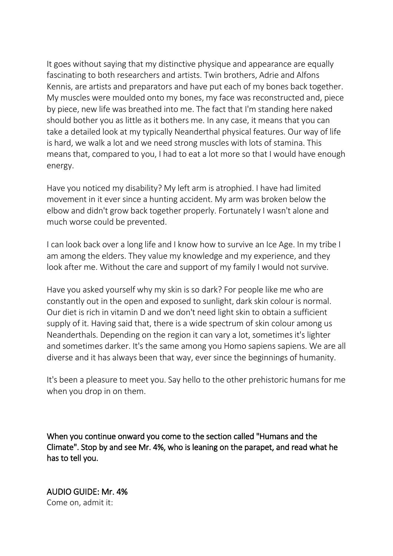It goes without saying that my distinctive physique and appearance are equally fascinating to both researchers and artists. Twin brothers, Adrie and Alfons Kennis, are artists and preparators and have put each of my bones back together. My muscles were moulded onto my bones, my face was reconstructed and, piece by piece, new life was breathed into me. The fact that I'm standing here naked should bother you as little as it bothers me. In any case, it means that you can take a detailed look at my typically Neanderthal physical features. Our way of life is hard, we walk a lot and we need strong muscles with lots of stamina. This means that, compared to you, I had to eat a lot more so that I would have enough energy.

Have you noticed my disability? My left arm is atrophied. I have had limited movement in it ever since a hunting accident. My arm was broken below the elbow and didn't grow back together properly. Fortunately I wasn't alone and much worse could be prevented.

I can look back over a long life and I know how to survive an Ice Age. In my tribe I am among the elders. They value my knowledge and my experience, and they look after me. Without the care and support of my family I would not survive.

Have you asked yourself why my skin is so dark? For people like me who are constantly out in the open and exposed to sunlight, dark skin colour is normal. Our diet is rich in vitamin D and we don't need light skin to obtain a sufficient supply of it. Having said that, there is a wide spectrum of skin colour among us Neanderthals. Depending on the region it can vary a lot, sometimes it's lighter and sometimes darker. It's the same among you Homo sapiens sapiens. We are all diverse and it has always been that way, ever since the beginnings of humanity.

It's been a pleasure to meet you. Say hello to the other prehistoric humans for me when you drop in on them.

When you continue onward you come to the section called "Humans and the Climate". Stop by and see Mr. 4%, who is leaning on the parapet, and read what he has to tell you.

AUDIO GUIDE: Mr. 4% Come on, admit it: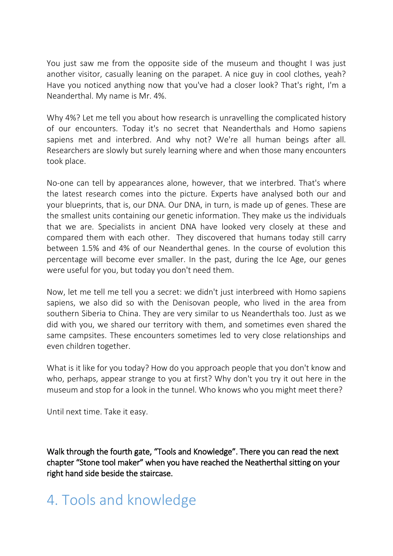You just saw me from the opposite side of the museum and thought I was just another visitor, casually leaning on the parapet. A nice guy in cool clothes, yeah? Have you noticed anything now that you've had a closer look? That's right, I'm a Neanderthal. My name is Mr. 4%.

Why 4%? Let me tell you about how research is unravelling the complicated history of our encounters. Today it's no secret that Neanderthals and Homo sapiens sapiens met and interbred. And why not? We're all human beings after all. Researchers are slowly but surely learning where and when those many encounters took place.

No-one can tell by appearances alone, however, that we interbred. That's where the latest research comes into the picture. Experts have analysed both our and your blueprints, that is, our DNA. Our DNA, in turn, is made up of genes. These are the smallest units containing our genetic information. They make us the individuals that we are. Specialists in ancient DNA have looked very closely at these and compared them with each other. They discovered that humans today still carry between 1.5% and 4% of our Neanderthal genes. In the course of evolution this percentage will become ever smaller. In the past, during the Ice Age, our genes were useful for you, but today you don't need them.

Now, let me tell me tell you a secret: we didn't just interbreed with Homo sapiens sapiens, we also did so with the Denisovan people, who lived in the area from southern Siberia to China. They are very similar to us Neanderthals too. Just as we did with you, we shared our territory with them, and sometimes even shared the same campsites. These encounters sometimes led to very close relationships and even children together.

What is it like for you today? How do you approach people that you don't know and who, perhaps, appear strange to you at first? Why don't you try it out here in the museum and stop for a look in the tunnel. Who knows who you might meet there?

Until next time. Take it easy.

Walk through the fourth gate, "Tools and Knowledge". There you can read the next chapter "Stone tool maker" when you have reached the Neatherthal sitting on your right hand side beside the staircase.

# 4. Tools and knowledge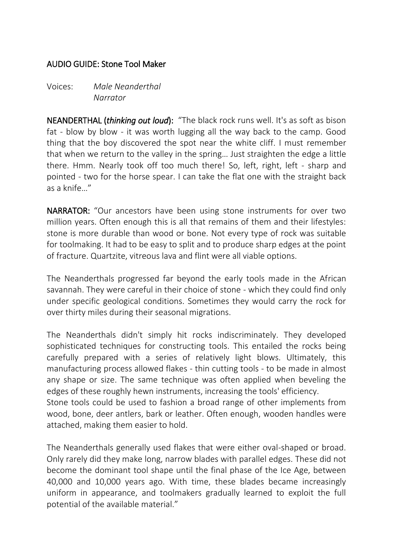#### AUDIO GUIDE: Stone Tool Maker

Voices: *Male Neanderthal Narrator*

NEANDERTHAL (*thinking out loud*): "The black rock runs well. It's as soft as bison fat - blow by blow - it was worth lugging all the way back to the camp. Good thing that the boy discovered the spot near the white cliff. I must remember that when we return to the valley in the spring… Just straighten the edge a little there. Hmm. Nearly took off too much there! So, left, right, left - sharp and pointed - two for the horse spear. I can take the flat one with the straight back as a knife…"

NARRATOR: "Our ancestors have been using stone instruments for over two million years. Often enough this is all that remains of them and their lifestyles: stone is more durable than wood or bone. Not every type of rock was suitable for toolmaking. It had to be easy to split and to produce sharp edges at the point of fracture. Quartzite, vitreous lava and flint were all viable options.

The Neanderthals progressed far beyond the early tools made in the African savannah. They were careful in their choice of stone - which they could find only under specific geological conditions. Sometimes they would carry the rock for over thirty miles during their seasonal migrations.

The Neanderthals didn't simply hit rocks indiscriminately. They developed sophisticated techniques for constructing tools. This entailed the rocks being carefully prepared with a series of relatively light blows. Ultimately, this manufacturing process allowed flakes - thin cutting tools - to be made in almost any shape or size. The same technique was often applied when beveling the edges of these roughly hewn instruments, increasing the tools' efficiency.

Stone tools could be used to fashion a broad range of other implements from wood, bone, deer antlers, bark or leather. Often enough, wooden handles were attached, making them easier to hold.

The Neanderthals generally used flakes that were either oval-shaped or broad. Only rarely did they make long, narrow blades with parallel edges. These did not become the dominant tool shape until the final phase of the Ice Age, between 40,000 and 10,000 years ago. With time, these blades became increasingly uniform in appearance, and toolmakers gradually learned to exploit the full potential of the available material."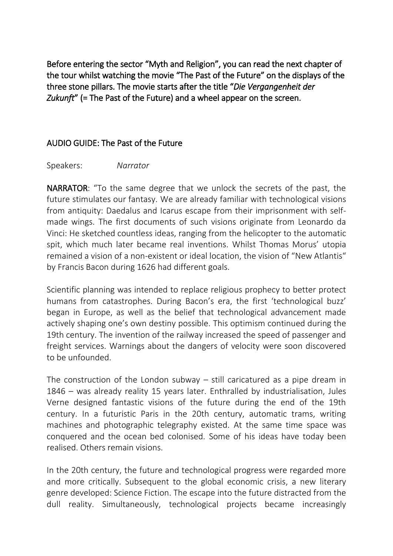Before entering the sector "Myth and Religion", you can read the next chapter of the tour whilst watching the movie "The Past of the Future" on the displays of the three stone pillars. The movie starts after the title "*Die Vergangenheit der Zukunft*" (= The Past of the Future) and a wheel appear on the screen.

### AUDIO GUIDE: The Past of the Future

Speakers: *Narrator*

NARRATOR: "To the same degree that we unlock the secrets of the past, the future stimulates our fantasy. We are already familiar with technological visions from antiquity: Daedalus and Icarus escape from their imprisonment with selfmade wings. The first documents of such visions originate from Leonardo da Vinci: He sketched countless ideas, ranging from the helicopter to the automatic spit, which much later became real inventions. Whilst Thomas Morus' utopia remained a vision of a non-existent or ideal location, the vision of "New Atlantis" by Francis Bacon during 1626 had different goals.

Scientific planning was intended to replace religious prophecy to better protect humans from catastrophes. During Bacon's era, the first 'technological buzz' began in Europe, as well as the belief that technological advancement made actively shaping one's own destiny possible. This optimism continued during the 19th century. The invention of the railway increased the speed of passenger and freight services. Warnings about the dangers of velocity were soon discovered to be unfounded.

The construction of the London subway – still caricatured as a pipe dream in 1846 – was already reality 15 years later. Enthralled by industrialisation, Jules Verne designed fantastic visions of the future during the end of the 19th century. In a futuristic Paris in the 20th century, automatic trams, writing machines and photographic telegraphy existed. At the same time space was conquered and the ocean bed colonised. Some of his ideas have today been realised. Others remain visions.

In the 20th century, the future and technological progress were regarded more and more critically. Subsequent to the global economic crisis, a new literary genre developed: Science Fiction. The escape into the future distracted from the dull reality. Simultaneously, technological projects became increasingly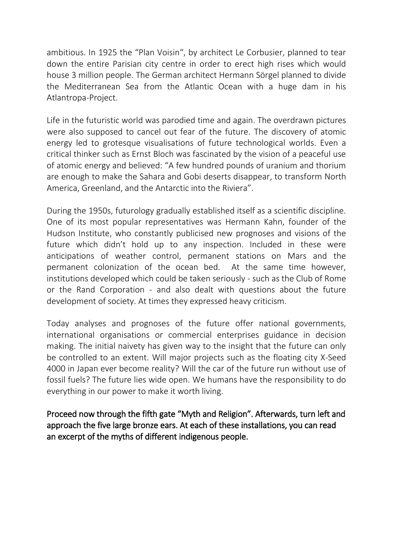ambitious. In 1925 the "Plan Voisin", by architect Le Corbusier, planned to tear down the entire Parisian city centre in order to erect high rises which would house 3 million people. The German architect Hermann Sörgel planned to divide the Mediterranean Sea from the Atlantic Ocean with a huge dam in his Atlantropa-Project.

Life in the futuristic world was parodied time and again. The overdrawn pictures were also supposed to cancel out fear of the future. The discovery of atomic energy led to grotesque visualisations of future technological worlds. Even a critical thinker such as Ernst Bloch was fascinated by the vision of a peaceful use of atomic energy and believed: "A few hundred pounds of uranium and thorium are enough to make the Sahara and Gobi deserts disappear, to transform North America, Greenland, and the Antarctic into the Riviera".

During the 1950s, futurology gradually established itself as a scientific discipline. One of its most popular representatives was Hermann Kahn, founder of the Hudson Institute, who constantly publicised new prognoses and visions of the future which didn't hold up to any inspection. Included in these were anticipations of weather control, permanent stations on Mars and the permanent colonization of the ocean bed. At the same time however, institutions developed which could be taken seriously - such as the Club of Rome or the Rand Corporation - and also dealt with questions about the future development of society. At times they expressed heavy criticism.

Today analyses and prognoses of the future offer national governments, international organisations or commercial enterprises guidance in decision making. The initial naivety has given way to the insight that the future can only be controlled to an extent. Will major projects such as the floating city X-Seed 4000 in Japan ever become reality? Will the car of the future run without use of fossil fuels? The future lies wide open. We humans have the responsibility to do everything in our power to make it worth living.

Proceed now through the fifth gate "Myth and Religion". Afterwards, turn left and approach the five large bronze ears. At each of these installations, you can read an excerpt of the myths of different indigenous people.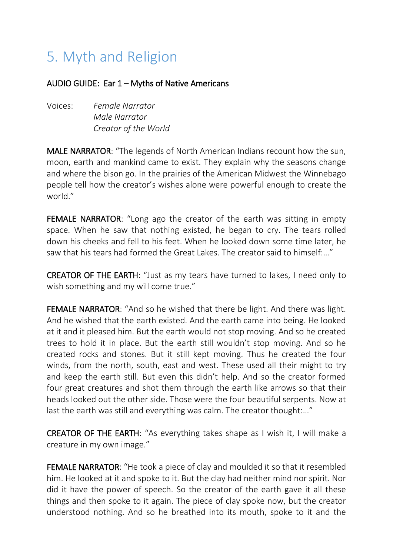# 5. Myth and Religion

#### AUDIO GUIDE: Ear 1 – Myths of Native Americans

Voices: *Female Narrator Male Narrator Creator of the World*

MALE NARRATOR: "The legends of North American Indians recount how the sun, moon, earth and mankind came to exist. They explain why the seasons change and where the bison go. In the prairies of the American Midwest the Winnebago people tell how the creator's wishes alone were powerful enough to create the world."

FEMALE NARRATOR: "Long ago the creator of the earth was sitting in empty space. When he saw that nothing existed, he began to cry. The tears rolled down his cheeks and fell to his feet. When he looked down some time later, he saw that his tears had formed the Great Lakes. The creator said to himself:…"

CREATOR OF THE EARTH: "Just as my tears have turned to lakes, I need only to wish something and my will come true."

FEMALE NARRATOR: "And so he wished that there be light. And there was light. And he wished that the earth existed. And the earth came into being. He looked at it and it pleased him. But the earth would not stop moving. And so he created trees to hold it in place. But the earth still wouldn't stop moving. And so he created rocks and stones. But it still kept moving. Thus he created the four winds, from the north, south, east and west. These used all their might to try and keep the earth still. But even this didn't help. And so the creator formed four great creatures and shot them through the earth like arrows so that their heads looked out the other side. Those were the four beautiful serpents. Now at last the earth was still and everything was calm. The creator thought:…"

CREATOR OF THE EARTH: "As everything takes shape as I wish it, I will make a creature in my own image."

FEMALE NARRATOR: "He took a piece of clay and moulded it so that it resembled him. He looked at it and spoke to it. But the clay had neither mind nor spirit. Nor did it have the power of speech. So the creator of the earth gave it all these things and then spoke to it again. The piece of clay spoke now, but the creator understood nothing. And so he breathed into its mouth, spoke to it and the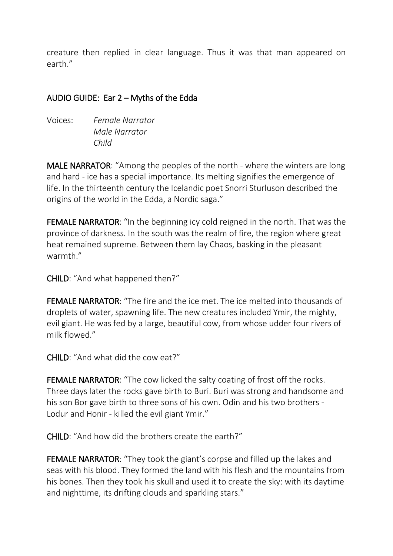creature then replied in clear language. Thus it was that man appeared on earth."

### AUDIO GUIDE: Ear 2 – Myths of the Edda

Voices: *Female Narrator Male Narrator Child*

MALE NARRATOR: "Among the peoples of the north - where the winters are long and hard - ice has a special importance. Its melting signifies the emergence of life. In the thirteenth century the Icelandic poet Snorri Sturluson described the origins of the world in the Edda, a Nordic saga."

FEMALE NARRATOR: "In the beginning icy cold reigned in the north. That was the province of darkness. In the south was the realm of fire, the region where great heat remained supreme. Between them lay Chaos, basking in the pleasant warmth."

CHILD: "And what happened then?"

FEMALE NARRATOR: "The fire and the ice met. The ice melted into thousands of droplets of water, spawning life. The new creatures included Ymir, the mighty, evil giant. He was fed by a large, beautiful cow, from whose udder four rivers of milk flowed."

CHILD: "And what did the cow eat?"

FEMALE NARRATOR: "The cow licked the salty coating of frost off the rocks. Three days later the rocks gave birth to Buri. Buri was strong and handsome and his son Bor gave birth to three sons of his own. Odin and his two brothers - Lodur and Honir - killed the evil giant Ymir."

CHILD: "And how did the brothers create the earth?"

FEMALE NARRATOR: "They took the giant's corpse and filled up the lakes and seas with his blood. They formed the land with his flesh and the mountains from his bones. Then they took his skull and used it to create the sky: with its daytime and nighttime, its drifting clouds and sparkling stars."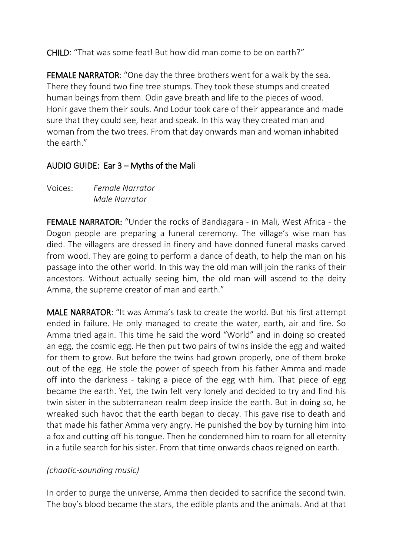CHILD: "That was some feat! But how did man come to be on earth?"

FEMALE NARRATOR: "One day the three brothers went for a walk by the sea. There they found two fine tree stumps. They took these stumps and created human beings from them. Odin gave breath and life to the pieces of wood. Honir gave them their souls. And Lodur took care of their appearance and made sure that they could see, hear and speak. In this way they created man and woman from the two trees. From that day onwards man and woman inhabited the earth."

## AUDIO GUIDE: Ear 3 – Myths of the Mali

Voices: *Female Narrator Male Narrator*

FEMALE NARRATOR: "Under the rocks of Bandiagara - in Mali, West Africa - the Dogon people are preparing a funeral ceremony. The village's wise man has died. The villagers are dressed in finery and have donned funeral masks carved from wood. They are going to perform a dance of death, to help the man on his passage into the other world. In this way the old man will join the ranks of their ancestors. Without actually seeing him, the old man will ascend to the deity Amma, the supreme creator of man and earth."

MALE NARRATOR: "It was Amma's task to create the world. But his first attempt ended in failure. He only managed to create the water, earth, air and fire. So Amma tried again. This time he said the word "World" and in doing so created an egg, the cosmic egg. He then put two pairs of twins inside the egg and waited for them to grow. But before the twins had grown properly, one of them broke out of the egg. He stole the power of speech from his father Amma and made off into the darkness - taking a piece of the egg with him. That piece of egg became the earth. Yet, the twin felt very lonely and decided to try and find his twin sister in the subterranean realm deep inside the earth. But in doing so, he wreaked such havoc that the earth began to decay. This gave rise to death and that made his father Amma very angry. He punished the boy by turning him into a fox and cutting off his tongue. Then he condemned him to roam for all eternity in a futile search for his sister. From that time onwards chaos reigned on earth.

# *(chaotic-sounding music)*

In order to purge the universe, Amma then decided to sacrifice the second twin. The boy's blood became the stars, the edible plants and the animals. And at that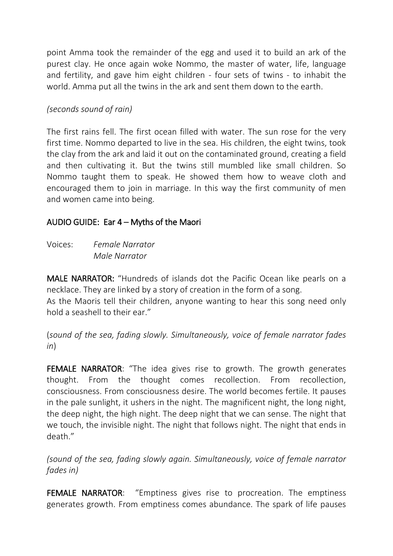point Amma took the remainder of the egg and used it to build an ark of the purest clay. He once again woke Nommo, the master of water, life, language and fertility, and gave him eight children - four sets of twins - to inhabit the world. Amma put all the twins in the ark and sent them down to the earth.

#### *(seconds sound of rain)*

The first rains fell. The first ocean filled with water. The sun rose for the very first time. Nommo departed to live in the sea. His children, the eight twins, took the clay from the ark and laid it out on the contaminated ground, creating a field and then cultivating it. But the twins still mumbled like small children. So Nommo taught them to speak. He showed them how to weave cloth and encouraged them to join in marriage. In this way the first community of men and women came into being.

### AUDIO GUIDE: Ear 4 – Myths of the Maori

Voices: *Female Narrator Male Narrator*

MALE NARRATOR: "Hundreds of islands dot the Pacific Ocean like pearls on a necklace. They are linked by a story of creation in the form of a song. As the Maoris tell their children, anyone wanting to hear this song need only hold a seashell to their ear."

(*sound of the sea, fading slowly. Simultaneously, voice of female narrator fades in*)

FEMALE NARRATOR: "The idea gives rise to growth. The growth generates thought. From the thought comes recollection. From recollection, consciousness. From consciousness desire. The world becomes fertile. It pauses in the pale sunlight, it ushers in the night. The magnificent night, the long night, the deep night, the high night. The deep night that we can sense. The night that we touch, the invisible night. The night that follows night. The night that ends in death."

*(sound of the sea, fading slowly again. Simultaneously, voice of female narrator fades in)*

FEMALE NARRATOR: "Emptiness gives rise to procreation. The emptiness generates growth. From emptiness comes abundance. The spark of life pauses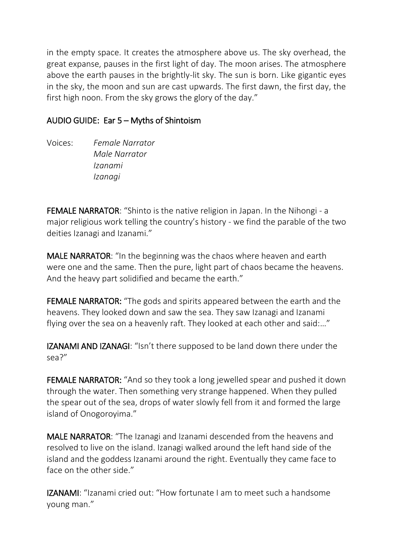in the empty space. It creates the atmosphere above us. The sky overhead, the great expanse, pauses in the first light of day. The moon arises. The atmosphere above the earth pauses in the brightly-lit sky. The sun is born. Like gigantic eyes in the sky, the moon and sun are cast upwards. The first dawn, the first day, the first high noon. From the sky grows the glory of the day."

## AUDIO GUIDE: Ear 5 – Myths of Shintoism

Voices: *Female Narrator Male Narrator Izanami Izanagi*

FEMALE NARRATOR: "Shinto is the native religion in Japan. In the Nihongi - a major religious work telling the country's history - we find the parable of the two deities Izanagi and Izanami."

MALE NARRATOR: "In the beginning was the chaos where heaven and earth were one and the same. Then the pure, light part of chaos became the heavens. And the heavy part solidified and became the earth."

FEMALE NARRATOR: "The gods and spirits appeared between the earth and the heavens. They looked down and saw the sea. They saw Izanagi and Izanami flying over the sea on a heavenly raft. They looked at each other and said:…"

IZANAMI AND IZANAGI: "Isn't there supposed to be land down there under the sea?"

FEMALE NARRATOR: "And so they took a long jewelled spear and pushed it down through the water. Then something very strange happened. When they pulled the spear out of the sea, drops of water slowly fell from it and formed the large island of Onogoroyima."

MALE NARRATOR: "The Izanagi and Izanami descended from the heavens and resolved to live on the island. Izanagi walked around the left hand side of the island and the goddess Izanami around the right. Eventually they came face to face on the other side."

IZANAMI: "Izanami cried out: "How fortunate I am to meet such a handsome young man."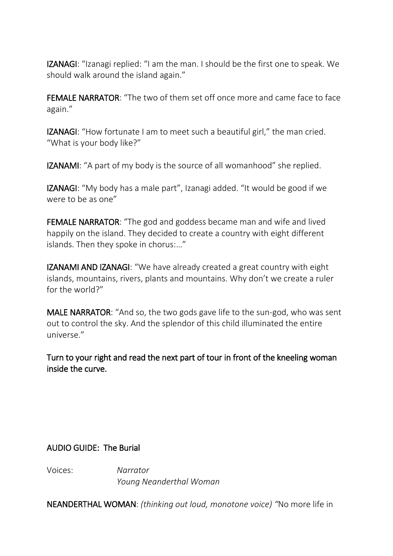IZANAGI: "Izanagi replied: "I am the man. I should be the first one to speak. We should walk around the island again."

FEMALE NARRATOR: "The two of them set off once more and came face to face again."

IZANAGI: "How fortunate I am to meet such a beautiful girl," the man cried. "What is your body like?"

IZANAMI: "A part of my body is the source of all womanhood" she replied.

IZANAGI: "My body has a male part", Izanagi added. "It would be good if we were to be as one"

FEMALE NARRATOR: "The god and goddess became man and wife and lived happily on the island. They decided to create a country with eight different islands. Then they spoke in chorus:…"

IZANAMI AND IZANAGI: "We have already created a great country with eight islands, mountains, rivers, plants and mountains. Why don't we create a ruler for the world?"

MALE NARRATOR: "And so, the two gods gave life to the sun-god, who was sent out to control the sky. And the splendor of this child illuminated the entire universe."

Turn to your right and read the next part of tour in front of the kneeling woman inside the curve.

AUDIO GUIDE: The Burial

Voices: *Narrator Young Neanderthal Woman*

NEANDERTHAL WOMAN: *(thinking out loud, monotone voice) "*No more life in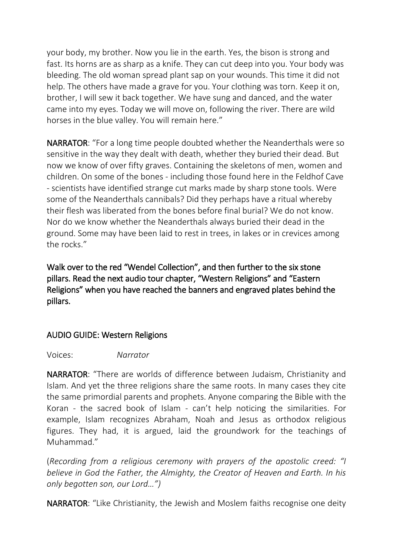your body, my brother. Now you lie in the earth. Yes, the bison is strong and fast. Its horns are as sharp as a knife. They can cut deep into you. Your body was bleeding. The old woman spread plant sap on your wounds. This time it did not help. The others have made a grave for you. Your clothing was torn. Keep it on, brother, I will sew it back together. We have sung and danced, and the water came into my eyes. Today we will move on, following the river. There are wild horses in the blue valley. You will remain here."

NARRATOR: "For a long time people doubted whether the Neanderthals were so sensitive in the way they dealt with death, whether they buried their dead. But now we know of over fifty graves. Containing the skeletons of men, women and children. On some of the bones - including those found here in the Feldhof Cave - scientists have identified strange cut marks made by sharp stone tools. Were some of the Neanderthals cannibals? Did they perhaps have a ritual whereby their flesh was liberated from the bones before final burial? We do not know. Nor do we know whether the Neanderthals always buried their dead in the ground. Some may have been laid to rest in trees, in lakes or in crevices among the rocks."

Walk over to the red "Wendel Collection", and then further to the six stone pillars. Read the next audio tour chapter, "Western Religions" and "Eastern Religions" when you have reached the banners and engraved plates behind the pillars.

### AUDIO GUIDE: Western Religions

#### Voices: *Narrator*

NARRATOR: "There are worlds of difference between Judaism, Christianity and Islam. And yet the three religions share the same roots. In many cases they cite the same primordial parents and prophets. Anyone comparing the Bible with the Koran - the sacred book of Islam - can't help noticing the similarities. For example, Islam recognizes Abraham, Noah and Jesus as orthodox religious figures. They had, it is argued, laid the groundwork for the teachings of Muhammad."

(*Recording from a religious ceremony with prayers of the apostolic creed: "I believe in God the Father, the Almighty, the Creator of Heaven and Earth. In his only begotten son, our Lord…")*

NARRATOR: "Like Christianity, the Jewish and Moslem faiths recognise one deity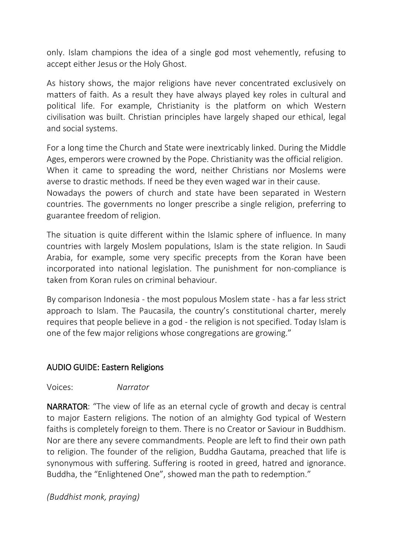only. Islam champions the idea of a single god most vehemently, refusing to accept either Jesus or the Holy Ghost.

As history shows, the major religions have never concentrated exclusively on matters of faith. As a result they have always played key roles in cultural and political life. For example, Christianity is the platform on which Western civilisation was built. Christian principles have largely shaped our ethical, legal and social systems.

For a long time the Church and State were inextricably linked. During the Middle Ages, emperors were crowned by the Pope. Christianity was the official religion. When it came to spreading the word, neither Christians nor Moslems were averse to drastic methods. If need be they even waged war in their cause.

Nowadays the powers of church and state have been separated in Western countries. The governments no longer prescribe a single religion, preferring to guarantee freedom of religion.

The situation is quite different within the Islamic sphere of influence. In many countries with largely Moslem populations, Islam is the state religion. In Saudi Arabia, for example, some very specific precepts from the Koran have been incorporated into national legislation. The punishment for non-compliance is taken from Koran rules on criminal behaviour.

By comparison Indonesia - the most populous Moslem state - has a far less strict approach to Islam. The Paucasila, the country's constitutional charter, merely requires that people believe in a god - the religion is not specified. Today Islam is one of the few major religions whose congregations are growing."

### AUDIO GUIDE: Eastern Religions

#### Voices: *Narrator*

NARRATOR: "The view of life as an eternal cycle of growth and decay is central to major Eastern religions. The notion of an almighty God typical of Western faiths is completely foreign to them. There is no Creator or Saviour in Buddhism. Nor are there any severe commandments. People are left to find their own path to religion. The founder of the religion, Buddha Gautama, preached that life is synonymous with suffering. Suffering is rooted in greed, hatred and ignorance. Buddha, the "Enlightened One", showed man the path to redemption."

*(Buddhist monk, praying)*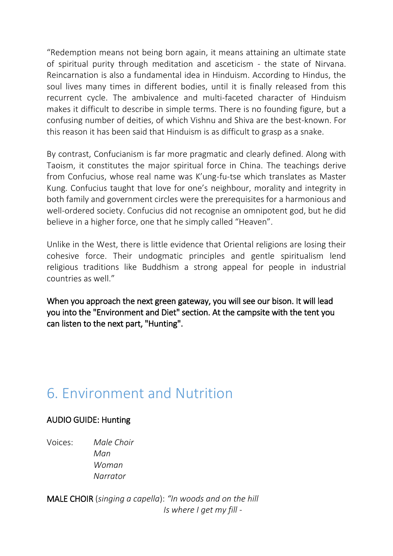"Redemption means not being born again, it means attaining an ultimate state of spiritual purity through meditation and asceticism - the state of Nirvana. Reincarnation is also a fundamental idea in Hinduism. According to Hindus, the soul lives many times in different bodies, until it is finally released from this recurrent cycle. The ambivalence and multi-faceted character of Hinduism makes it difficult to describe in simple terms. There is no founding figure, but a confusing number of deities, of which Vishnu and Shiva are the best-known. For this reason it has been said that Hinduism is as difficult to grasp as a snake.

By contrast, Confucianism is far more pragmatic and clearly defined. Along with Taoism, it constitutes the major spiritual force in China. The teachings derive from Confucius, whose real name was K'ung-fu-tse which translates as Master Kung. Confucius taught that love for one's neighbour, morality and integrity in both family and government circles were the prerequisites for a harmonious and well-ordered society. Confucius did not recognise an omnipotent god, but he did believe in a higher force, one that he simply called "Heaven".

Unlike in the West, there is little evidence that Oriental religions are losing their cohesive force. Their undogmatic principles and gentle spiritualism lend religious traditions like Buddhism a strong appeal for people in industrial countries as well."

When you approach the next green gateway, you will see our bison. It will lead you into the "Environment and Diet" section. At the campsite with the tent you can listen to the next part, "Hunting".

# 6. Environment and Nutrition

### AUDIO GUIDE: Hunting

Voices: *Male Choir Man Woman Narrator*

MALE CHOIR (*singing a capella*): *"In woods and on the hill Is where I get my fill -*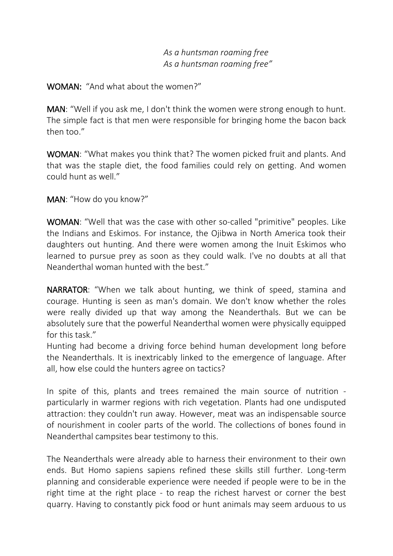#### *As a huntsman roaming free As a huntsman roaming free"*

#### WOMAN: "And what about the women?"

MAN: "Well if you ask me, I don't think the women were strong enough to hunt. The simple fact is that men were responsible for bringing home the bacon back then too."

WOMAN: "What makes you think that? The women picked fruit and plants. And that was the staple diet, the food families could rely on getting. And women could hunt as well."

MAN: "How do you know?"

WOMAN: "Well that was the case with other so-called "primitive" peoples. Like the Indians and Eskimos. For instance, the Ojibwa in North America took their daughters out hunting. And there were women among the Inuit Eskimos who learned to pursue prey as soon as they could walk. I've no doubts at all that Neanderthal woman hunted with the best."

NARRATOR: "When we talk about hunting, we think of speed, stamina and courage. Hunting is seen as man's domain. We don't know whether the roles were really divided up that way among the Neanderthals. But we can be absolutely sure that the powerful Neanderthal women were physically equipped for this task."

Hunting had become a driving force behind human development long before the Neanderthals. It is inextricably linked to the emergence of language. After all, how else could the hunters agree on tactics?

In spite of this, plants and trees remained the main source of nutrition particularly in warmer regions with rich vegetation. Plants had one undisputed attraction: they couldn't run away. However, meat was an indispensable source of nourishment in cooler parts of the world. The collections of bones found in Neanderthal campsites bear testimony to this.

The Neanderthals were already able to harness their environment to their own ends. But Homo sapiens sapiens refined these skills still further. Long-term planning and considerable experience were needed if people were to be in the right time at the right place - to reap the richest harvest or corner the best quarry. Having to constantly pick food or hunt animals may seem arduous to us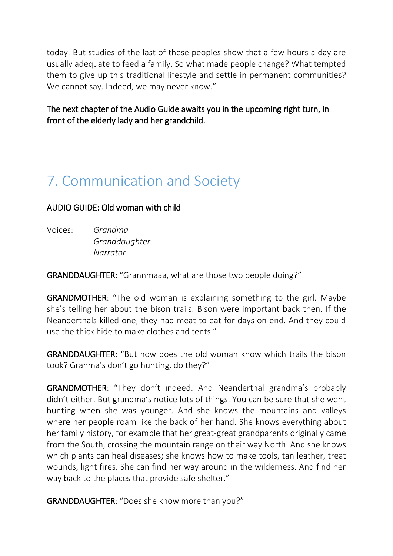today. But studies of the last of these peoples show that a few hours a day are usually adequate to feed a family. So what made people change? What tempted them to give up this traditional lifestyle and settle in permanent communities? We cannot say. Indeed, we may never know."

The next chapter of the Audio Guide awaits you in the upcoming right turn, in front of the elderly lady and her grandchild.

# 7. Communication and Society

### AUDIO GUIDE: Old woman with child

Voices: *Grandma Granddaughter Narrator*

GRANDDAUGHTER: "Grannmaaa, what are those two people doing?"

GRANDMOTHER: "The old woman is explaining something to the girl. Maybe she's telling her about the bison trails. Bison were important back then. If the Neanderthals killed one, they had meat to eat for days on end. And they could use the thick hide to make clothes and tents."

GRANDDAUGHTER: "But how does the old woman know which trails the bison took? Granma's don't go hunting, do they?"

GRANDMOTHER: "They don't indeed. And Neanderthal grandma's probably didn't either. But grandma's notice lots of things. You can be sure that she went hunting when she was younger. And she knows the mountains and valleys where her people roam like the back of her hand. She knows everything about her family history, for example that her great-great grandparents originally came from the South, crossing the mountain range on their way North. And she knows which plants can heal diseases; she knows how to make tools, tan leather, treat wounds, light fires. She can find her way around in the wilderness. And find her way back to the places that provide safe shelter."

GRANDDAUGHTER: "Does she know more than you?"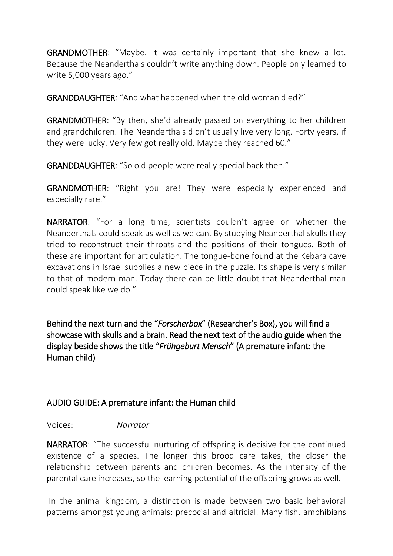GRANDMOTHER: "Maybe. It was certainly important that she knew a lot. Because the Neanderthals couldn't write anything down. People only learned to write 5,000 years ago."

GRANDDAUGHTER: "And what happened when the old woman died?"

GRANDMOTHER: "By then, she'd already passed on everything to her children and grandchildren. The Neanderthals didn't usually live very long. Forty years, if they were lucky. Very few got really old. Maybe they reached 60."

GRANDDAUGHTER: "So old people were really special back then."

GRANDMOTHER: "Right you are! They were especially experienced and especially rare."

NARRATOR: "For a long time, scientists couldn't agree on whether the Neanderthals could speak as well as we can. By studying Neanderthal skulls they tried to reconstruct their throats and the positions of their tongues. Both of these are important for articulation. The tongue-bone found at the Kebara cave excavations in Israel supplies a new piece in the puzzle. Its shape is very similar to that of modern man. Today there can be little doubt that Neanderthal man could speak like we do."

Behind the next turn and the "*Forscherbox*" (Researcher's Box), you will find a showcase with skulls and a brain. Read the next text of the audio guide when the display beside shows the title "*Frühgeburt Mensch*" (A premature infant: the Human child)

# AUDIO GUIDE: A premature infant: the Human child

Voices: *Narrator*

NARRATOR: "The successful nurturing of offspring is decisive for the continued existence of a species. The longer this brood care takes, the closer the relationship between parents and children becomes. As the intensity of the parental care increases, so the learning potential of the offspring grows as well.

In the animal kingdom, a distinction is made between two basic behavioral patterns amongst young animals: precocial and altricial. Many fish, amphibians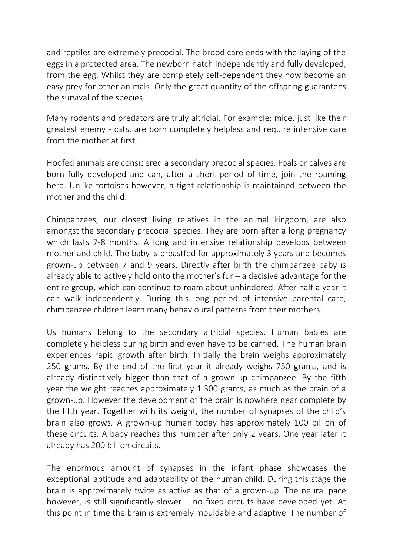and reptiles are extremely precocial. The brood care ends with the laying of the eggs in a protected area. The newborn hatch independently and fully developed, from the egg. Whilst they are completely self-dependent they now become an easy prey for other animals. Only the great quantity of the offspring guarantees the survival of the species.

Many rodents and predators are truly altricial. For example: mice, just like their greatest enemy - cats, are born completely helpless and require intensive care from the mother at first.

Hoofed animals are considered a secondary precocial species. Foals or calves are born fully developed and can, after a short period of time, join the roaming herd. Unlike tortoises however, a tight relationship is maintained between the mother and the child.

Chimpanzees, our closest living relatives in the animal kingdom, are also amongst the secondary precocial species. They are born after a long pregnancy which lasts 7-8 months. A long and intensive relationship develops between mother and child. The baby is breastfed for approximately 3 years and becomes grown-up between 7 and 9 years. Directly after birth the chimpanzee baby is already able to actively hold onto the mother's fur  $-$  a decisive advantage for the entire group, which can continue to roam about unhindered. After half a year it can walk independently. During this long period of intensive parental care, chimpanzee children learn many behavioural patterns from their mothers.

Us humans belong to the secondary altricial species. Human babies are completely helpless during birth and even have to be carried. The human brain experiences rapid growth after birth. Initially the brain weighs approximately 250 grams. By the end of the first year it already weighs 750 grams, and is already distinctively bigger than that of a grown-up chimpanzee. By the fifth year the weight reaches approximately 1.300 grams, as much as the brain of a grown-up. However the development of the brain is nowhere near complete by the fifth year. Together with its weight, the number of synapses of the child's brain also grows. A grown-up human today has approximately 100 billion of these circuits. A baby reaches this number after only 2 years. One year later it already has 200 billion circuits.

The enormous amount of synapses in the infant phase showcases the exceptional aptitude and adaptability of the human child. During this stage the brain is approximately twice as active as that of a grown-up. The neural pace however, is still significantly slower – no fixed circuits have developed yet. At this point in time the brain is extremely mouldable and adaptive. The number of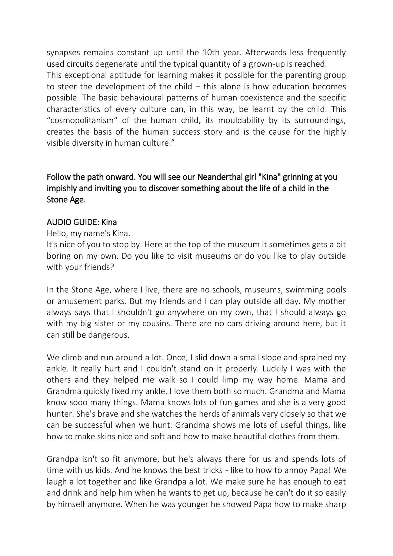synapses remains constant up until the 10th year. Afterwards less frequently used circuits degenerate until the typical quantity of a grown-up is reached.

This exceptional aptitude for learning makes it possible for the parenting group to steer the development of the child – this alone is how education becomes possible. The basic behavioural patterns of human coexistence and the specific characteristics of every culture can, in this way, be learnt by the child. This "cosmopolitanism" of the human child, its mouldability by its surroundings, creates the basis of the human success story and is the cause for the highly visible diversity in human culture."

### Follow the path onward. You will see our Neanderthal girl "Kina" grinning at you impishly and inviting you to discover something about the life of a child in the Stone Age.

#### AUDIO GUIDE: Kina

Hello, my name's Kina.

It's nice of you to stop by. Here at the top of the museum it sometimes gets a bit boring on my own. Do you like to visit museums or do you like to play outside with your friends?

In the Stone Age, where I live, there are no schools, museums, swimming pools or amusement parks. But my friends and I can play outside all day. My mother always says that I shouldn't go anywhere on my own, that I should always go with my big sister or my cousins. There are no cars driving around here, but it can still be dangerous.

We climb and run around a lot. Once, I slid down a small slope and sprained my ankle. It really hurt and I couldn't stand on it properly. Luckily I was with the others and they helped me walk so I could limp my way home. Mama and Grandma quickly fixed my ankle. I love them both so much. Grandma and Mama know sooo many things. Mama knows lots of fun games and she is a very good hunter. She's brave and she watches the herds of animals very closely so that we can be successful when we hunt. Grandma shows me lots of useful things, like how to make skins nice and soft and how to make beautiful clothes from them.

Grandpa isn't so fit anymore, but he's always there for us and spends lots of time with us kids. And he knows the best tricks - like to how to annoy Papa! We laugh a lot together and like Grandpa a lot. We make sure he has enough to eat and drink and help him when he wants to get up, because he can't do it so easily by himself anymore. When he was younger he showed Papa how to make sharp